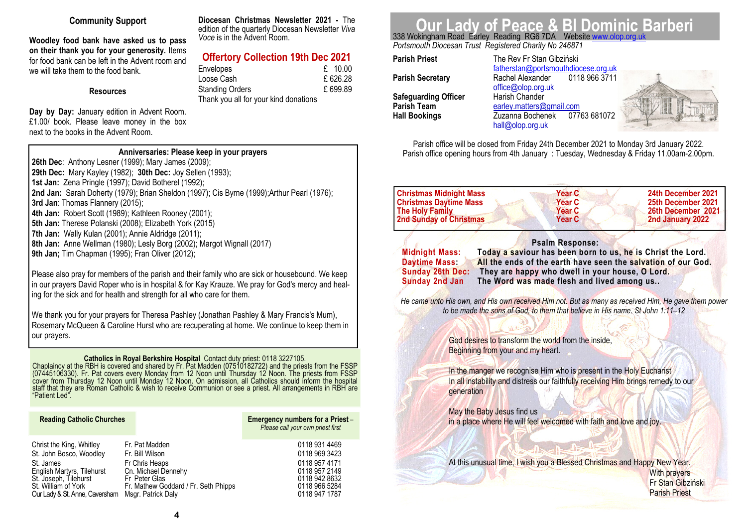# **Community Support**

**Woodley food bank have asked us to pass on their thank you for your generosity.** Items for food bank can be left in the Advent room and we will take them to the food bank

## **Resources**

**Day by Day:** January edition in Advent Room. £1.00/ book. Please leave money in the box next to the books in the Advent Room.

**Diocesan Christmas Newsletter 2021 -** The edition of the quarterly Diocesan Newsletter *Viva Voce* is in the Advent Room.

# **Offertory Collection 19th Dec 2021**

| <b>Envelopes</b>                      | £ 10.00 |
|---------------------------------------|---------|
| Loose Cash                            | £626.28 |
| <b>Standing Orders</b>                | £699.89 |
| Thank you all for your kind donations |         |

# **Our Lady of Peace & Bl Dominic Barberi**<br>338 Wokingham Road Earley Reading RG6 7DA Website www.olop.org.uk

*Portsmouth Diocesan Trust Registered Charity No 246871* 

**Parish Priest** The Rev Fr Stan Gibziński **Parish Secretary Rachel Alexander Safeguarding Officer<br>Parish Team Hall Bookings** *Zuzanna Bochenek* 

 fatherstan@portsmouthdiocese.org.uk0118 966 3711 office@olop.org.uk<br>Harish Chander **Parish Team earley.matters@gmail.com** 07763 681072 hall@olop.org.uk



Parish office will be closed from Friday 24th December 2021 to Monday 3rd January 2022. Parish office opening hours from 4th January : Tuesday, Wednesday & Friday 11.00am-2.00pm.

| Christmas Midnight Mass        | <b>Year C</b> | 24th December 2021 |
|--------------------------------|---------------|--------------------|
| <b>Christmas Daytime Mass</b>  | <b>Year C</b> | 25th December 2021 |
| <b>The Holy Family</b>         | Year C        | 26th December 2021 |
| <b>2nd Sunday of Christmas</b> | <b>Year C</b> | 2nd January 2022   |
|                                |               |                    |

**Psalm Response:** 

 **Midnight Mass: Today a saviour has been born to us, he is Christ the Lord. Daytime Mass: All the ends of the earth have seen the salvation of our God. Sunday 26th Dec: They are happy who dwell in your house, O Lord.** The Word was made flesh and lived among us..

*He came unto His own, and His own received Him not. But as many as received Him, He gave them power to be made the sons of God, to them that believe in His name. St John 1:11–12* 

> God desires to transform the world from the inside, Beginning from your and my heart.

In the manger we recognise Him who is present in the Holy Eucharist In all instability and distress our faithfully receiving Him brings remedy to our generation

 May the Baby Jesus find us in a place where He will feel welcomed with faith and love and joy.

 At this unusual time, I wish you a Blessed Christmas and Happy New Year. With prayers Fr Stan Gibziński Parish Priest

# **Anniversaries: Please keep in your prayers**

**26th Dec**: Anthony Lesner (1999); Mary James (2009); **29th Dec:** Mary Kayley (1982); **30th Dec:** Joy Sellen (1993); **1st Jan:** Zena Pringle (1997); David Botherel (1992); **2nd Jan:** Sarah Doherty (1979); Brian Sheldon (1997); Cis Byrne (1999);Arthur Pearl (1976); **3rd Jan**: Thomas Flannery (2015); **4th Jan:** Robert Scott (1989); Kathleen Rooney (2001); **5th Jan:** Therese Polanski (2008); Elizabeth York (2015) **7th Jan:** Wally Kulan (2001); Annie Aldridge (2011); **8th Jan:** Anne Wellman (1980); Lesly Borg (2002); Margot Wignall (2017) **9th Jan;** Tim Chapman (1995); Fran Oliver (2012);

Please also pray for members of the parish and their family who are sick or housebound. We keep in our prayers David Roper who is in hospital & for Kay Krauze. We pray for God's mercy and heal-

ing for the sick and for health and strength for all who care for them.

We thank you for your prayers for Theresa Pashley (Jonathan Pashley & Mary Francis's Mum), Rosemary McQueen & Caroline Hurst who are recuperating at home. We continue to keep them in our prayers.

**Catholics in Royal Berkshire Hospital** Contact duty priest: 0118 3227105.<br>Chaplaincy at the RBH is covered and shared by Fr. Pat Madden (07510182722) and the priests from the FSSP<br>(07445106330). Fr. Pat covers every Monda

| <b>Reading Catholic Churches</b> |  |  |
|----------------------------------|--|--|
|----------------------------------|--|--|

### **Emergency numbers for a Priest** – *Please call your own priest first*

Christ the King, Whitley Fr. Pat Madden and Christ the King, Whitley Fr. Pat Madden 20118 931 4469 Christ 10118 969 3423 0118 969 3423 St. John Bosco, Woodley 0118 957 4171 St. James Fr Chris Heaps<br>English Martyrs, Tilehurst Cn. Michael Dennehy 0118 957 2149 English Martyrs, Tilehurst Cn. Michael Dennehy 0118 957 2149 0118 942 8632 St. Joseph, Tilehurst Fr Peter Glas 0118 942 8632 St. William of York Fr. Mathew Goddard / Fr. Seth Phipps 0118 966 5284<br>Our Lady & St. Anne. Caversham Msgr. Patrick Daly Our Lady & St. Anne, Caversham Msgr. Patrick Daly